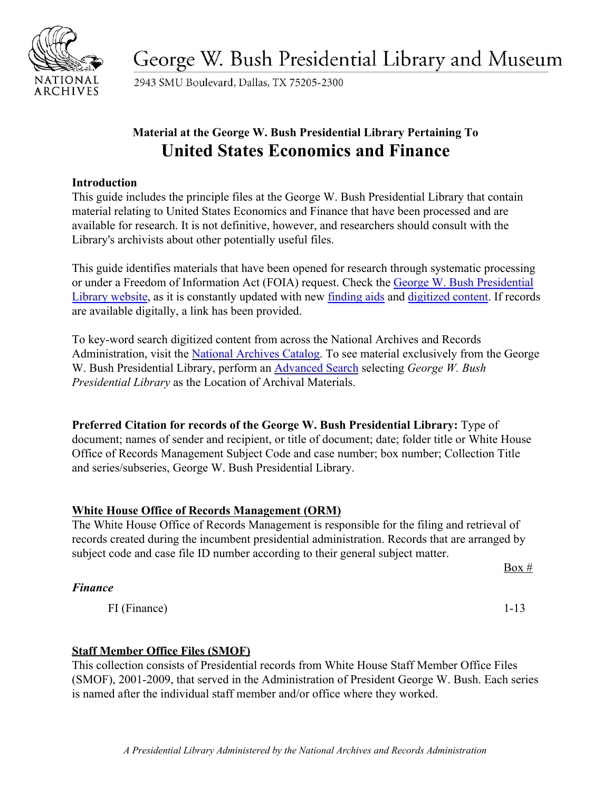

George W. Bush Presidential Library and Museum

2943 SMU Boulevard, Dallas, TX 75205-2300

# **Material at the George W. Bush Presidential Library Pertaining To United States Economics and Finance**

### **Introduction**

This guide includes the principle files at the George W. Bush Presidential Library that contain material relating to United States Economics and Finance that have been processed and are available for research. It is not definitive, however, and researchers should consult with the Library's archivists about other potentially useful files.

This guide identifies materials that have been opened for research through systematic processing or under a Freedom of Information Act (FOIA) request. Check the [George W. Bush Presidential](https://www.georgewbushlibrary.gov/) [Library website,](https://www.georgewbushlibrary.gov/) as it is constantly updated with new [finding aids](https://www.georgewbushlibrary.gov/research/finding-aids) and [digitized content.](https://www.georgewbushlibrary.gov/research/records-search) If records are available digitally, a link has been provided.

To key-word search digitized content from across the National Archives and Records Administration, visit the [National Archives Catalog.](https://catalog.archives.gov/) To see material exclusively from the George W. Bush Presidential Library, perform an [Advanced Search](https://catalog.archives.gov/advancedsearch) selecting *George W. Bush Presidential Library* as the Location of Archival Materials.

**Preferred Citation for records of the George W. Bush Presidential Library:** Type of document; names of sender and recipient, or title of document; date; folder title or White House Office of Records Management Subject Code and case number; box number; Collection Title and series/subseries, George W. Bush Presidential Library.

# **White House Office of Records Management (ORM)**

The White House Office of Records Management is responsible for the filing and retrieval of records created during the incumbent presidential administration. Records that are arranged by subject code and case file ID number according to their general subject matter.

# *Finance*

FI (Finance) 1-13

# **Staff Member Office Files (SMOF)**

This collection consists of Presidential records from White House Staff Member Office Files (SMOF), 2001-2009, that served in the Administration of President George W. Bush. Each series is named after the individual staff member and/or office where they worked.

 $Box #$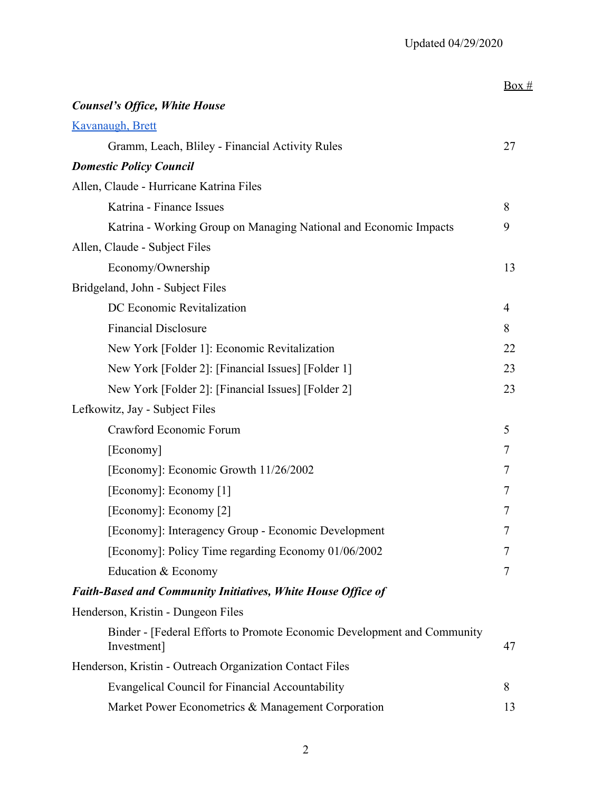|                                                                                        | Box # |
|----------------------------------------------------------------------------------------|-------|
| <b>Counsel's Office, White House</b>                                                   |       |
| Kavanaugh, Brett                                                                       |       |
| Gramm, Leach, Bliley - Financial Activity Rules                                        | 27    |
| <b>Domestic Policy Council</b>                                                         |       |
| Allen, Claude - Hurricane Katrina Files                                                |       |
| Katrina - Finance Issues                                                               | 8     |
| Katrina - Working Group on Managing National and Economic Impacts                      | 9     |
| Allen, Claude - Subject Files                                                          |       |
| Economy/Ownership                                                                      | 13    |
| Bridgeland, John - Subject Files                                                       |       |
| DC Economic Revitalization                                                             | 4     |
| <b>Financial Disclosure</b>                                                            | 8     |
| New York [Folder 1]: Economic Revitalization                                           | 22    |
| New York [Folder 2]: [Financial Issues] [Folder 1]                                     | 23    |
| New York [Folder 2]: [Financial Issues] [Folder 2]                                     | 23    |
| Lefkowitz, Jay - Subject Files                                                         |       |
| Crawford Economic Forum                                                                | 5     |
| [Economy]                                                                              | 7     |
| [Economy]: Economic Growth 11/26/2002                                                  | 7     |
| [Economy]: Economy [1]                                                                 | 7     |
| [Economy]: Economy [2]                                                                 | 7     |
| [Economy]: Interagency Group - Economic Development                                    | 7     |
| [Economy]: Policy Time regarding Economy 01/06/2002                                    | 7     |
| Education & Economy                                                                    | 7     |
| <b>Faith-Based and Community Initiatives, White House Office of</b>                    |       |
| Henderson, Kristin - Dungeon Files                                                     |       |
| Binder - [Federal Efforts to Promote Economic Development and Community<br>Investment] | 47    |
| Henderson, Kristin - Outreach Organization Contact Files                               |       |
| <b>Evangelical Council for Financial Accountability</b>                                | 8     |
| Market Power Econometrics & Management Corporation                                     | 13    |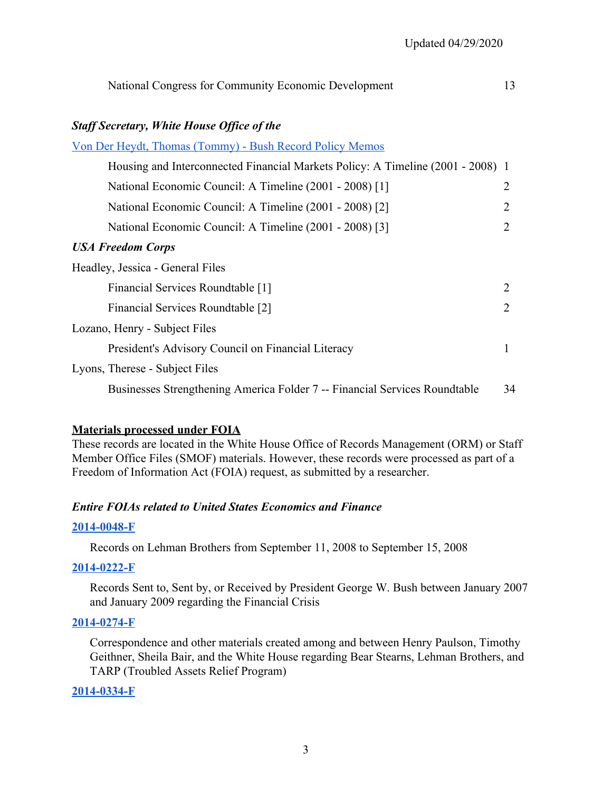| National Congress for Community Economic Development                            | 13 |
|---------------------------------------------------------------------------------|----|
| <b>Staff Secretary, White House Office of the</b>                               |    |
| <u> Von Der Heydt, Thomas (Tommy) - Bush Record Policy Memos</u>                |    |
| Housing and Interconnected Financial Markets Policy: A Timeline (2001 - 2008) 1 |    |
| National Economic Council: A Timeline (2001 - 2008) [1]                         | 2  |
| National Economic Council: A Timeline (2001 - 2008) [2]                         | 2  |
| National Economic Council: A Timeline (2001 - 2008) [3]                         | 2  |
| <b>USA Freedom Corps</b>                                                        |    |
| Headley, Jessica - General Files                                                |    |
| Financial Services Roundtable [1]                                               | 2  |
| Financial Services Roundtable [2]                                               | 2  |
| Lozano, Henry - Subject Files                                                   |    |
| President's Advisory Council on Financial Literacy                              | 1  |
| Lyons, Therese - Subject Files                                                  |    |
| Businesses Strengthening America Folder 7 -- Financial Services Roundtable      | 34 |

#### **Materials processed under FOIA**

These records are located in the White House Office of Records Management (ORM) or Staff Member Office Files (SMOF) materials. However, these records were processed as part of a Freedom of Information Act (FOIA) request, as submitted by a researcher.

#### *Entire FOIAs related to United States Economics and Finance*

#### **[2014-0048-F](https://www.georgewbushlibrary.gov/research/finding-aids/foia-requests/2014-0048-f-records-lehman-brothers-september-11-2008-september-15-2008)**

Records on Lehman Brothers from September 11, 2008 to September 15, 2008

#### **[2014-0222-F](https://www.georgewbushlibrary.gov/research/finding-aids/foia-requests/2014-0222-f-records-sent-sent-or-received-president-george-w-bush-between-january-2007-and-january)**

Records Sent to, Sent by, or Received by President George W. Bush between January 2007 and January 2009 regarding the Financial Crisis

#### **[2014-0274-F](https://www.georgewbushlibrary.gov/research/finding-aids/foia-requests/2014-0274-f-records-created-among-and-between-henry-paulson-timothy-geithner-sheila-bair-and-white)**

Correspondence and other materials created among and between Henry Paulson, Timothy Geithner, Sheila Bair, and the White House regarding Bear Stearns, Lehman Brothers, and TARP (Troubled Assets Relief Program)

#### **[2014-0334-F](https://www.georgewbushlibrary.gov/research/finding-aids/foia-requests/2014-0334-f-records-created-or-sent-robert-hoyt-related-securities-regulation-securities-and)**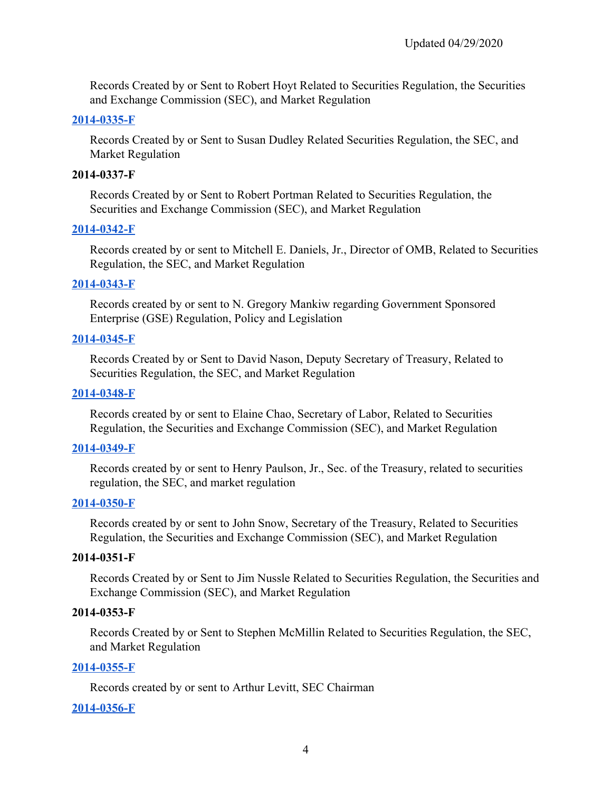Records Created by or Sent to Robert Hoyt Related to Securities Regulation, the Securities and Exchange Commission (SEC), and Market Regulation

#### **[2014-0335-F](https://www.georgewbushlibrary.gov/research/finding-aids/foia-requests/2014-0335-f-records-created-or-sent-susan-dudley-related-securities-regulation-sec-and-market)**

Records Created by or Sent to Susan Dudley Related Securities Regulation, the SEC, and Market Regulation

#### **2014-0337-F**

Records Created by or Sent to Robert Portman Related to Securities Regulation, the Securities and Exchange Commission (SEC), and Market Regulation

#### **[2014-0342-F](https://www.georgewbushlibrary.gov/research/finding-aids/foia-requests/2014-0342-f-records-created-or-sent-mitchell-e-daniels-jr-director-omb-related-securities-regulation)**

Records created by or sent to Mitchell E. Daniels, Jr., Director of OMB, Related to Securities Regulation, the SEC, and Market Regulation

#### **[2014-0343-F](https://www.georgewbushlibrary.gov/research/finding-aids/foia-requests/2014-0343-f-records-created-or-sent-n-gregory-mankiw-regarding-government-sponsored-enterprise-gse)**

Records created by or sent to N. Gregory Mankiw regarding Government Sponsored Enterprise (GSE) Regulation, Policy and Legislation

#### **[2014-0345-F](https://www.georgewbushlibrary.gov/research/finding-aids/foia-requests/2014-0345-f-records-created-or-sent-david-nason-deputy-secretary-treasury-related-securities)**

Records Created by or Sent to David Nason, Deputy Secretary of Treasury, Related to Securities Regulation, the SEC, and Market Regulation

#### **[2014-0348-F](https://www.georgewbushlibrary.gov/research/finding-aids/foia-requests/2014-0348-f-records-created-or-sent-elaine-chao-secretary-labor-related-securities-regulation)**

Records created by or sent to Elaine Chao, Secretary of Labor, Related to Securities Regulation, the Securities and Exchange Commission (SEC), and Market Regulation

#### **[2014-0349-F](https://www.georgewbushlibrary.gov/research/finding-aids/foia-requests/2014-0349-f-records-created-or-sent-henry-paulson-jr-secretary-treasury-related-securities)**

Records created by or sent to Henry Paulson, Jr., Sec. of the Treasury, related to securities regulation, the SEC, and market regulation

#### **[2014-0350-F](https://www.georgewbushlibrary.gov/research/finding-aids/foia-requests/2014-0350-f-records-created-or-sent-john-snow-secretary-treasury-related-securities-regulation)**

Records created by or sent to John Snow, Secretary of the Treasury, Related to Securities Regulation, the Securities and Exchange Commission (SEC), and Market Regulation

#### **2014-0351-F**

Records Created by or Sent to Jim Nussle Related to Securities Regulation, the Securities and Exchange Commission (SEC), and Market Regulation

#### **2014-0353-F**

Records Created by or Sent to Stephen McMillin Related to Securities Regulation, the SEC, and Market Regulation

#### **[2014-0355-F](https://www.georgewbushlibrary.gov/research/finding-aids/foia-requests/2014-0355-f-records-created-or-sent-arthur-levitt-chairman-securities-and-exchange-commission)**

Records created by or sent to Arthur Levitt, SEC Chairman

#### **[2014-0356-F](https://www.georgewbushlibrary.gov/research/finding-aids/foia-requests/2014-0356-f-records-created-or-sent-harvey-pitt)**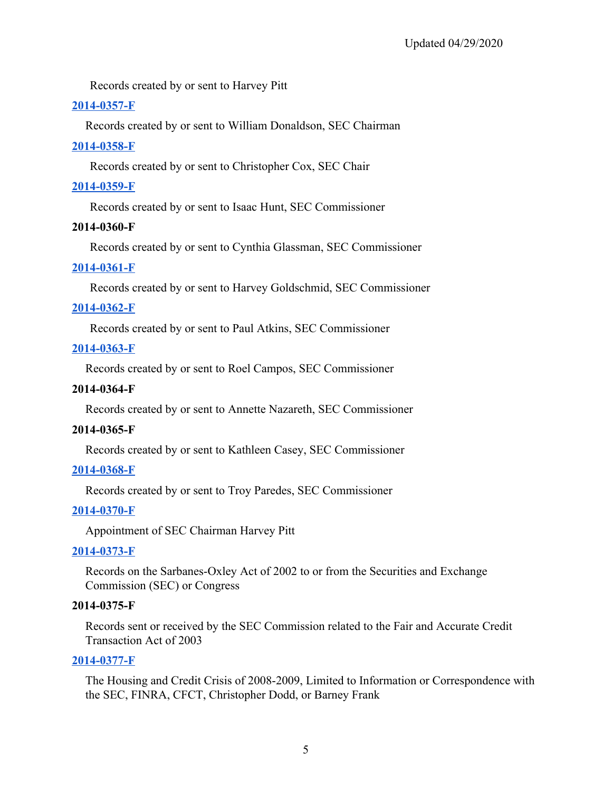Records created by or sent to Harvey Pitt

### **[2014-0357-F](https://www.georgewbushlibrary.gov/research/finding-aids/foia-requests/2014-0357-f-records-created-or-sent-william-donaldson-chairman-securities-and-exchange-commission)**

Records created by or sent to William Donaldson, SEC Chairman

### **[2014-0358-F](https://www.georgewbushlibrary.gov/research/finding-aids/foia-requests/2014-0358-f-records-created-or-sent-christopher-cox-sec-chair)**

Records created by or sent to Christopher Cox, SEC Chair

### **[2014-0359-F](https://www.georgewbushlibrary.gov/research/finding-aids/foia-requests/2014-0359-f-records-created-or-sent-isaac-hunt-sec-commissioner)**

Records created by or sent to Isaac Hunt, SEC Commissioner

### **2014-0360-F**

Records created by or sent to Cynthia Glassman, SEC Commissioner

### **[2014-0361-F](https://www.georgewbushlibrary.gov/research/finding-aids/foia-requests/2014-0361-f-records-created-or-sent-harvey-goldschmid-sec-commissioner)**

Records created by or sent to Harvey Goldschmid, SEC Commissioner

### **[2014-0362-F](https://www.georgewbushlibrary.gov/research/finding-aids/foia-requests/2014-0362-f-records-created-or-sent-paul-atkins-securities-and-exchange-commission-sec-commissioner)**

Records created by or sent to Paul Atkins, SEC Commissioner

### **[2014-0363-F](https://www.georgewbushlibrary.gov/research/finding-aids/foia-requests/2014-0363-f-records-created-or-sent-roel-campos-sec-commissioner)**

Records created by or sent to Roel Campos, SEC Commissioner

### **2014-0364-F**

Records created by or sent to Annette Nazareth, SEC Commissioner

### **2014-0365-F**

Records created by or sent to Kathleen Casey, SEC Commissioner

# **[2014-0368-F](https://www.georgewbushlibrary.gov/research/finding-aids/foia-requests/2014-0368-f-records-created-or-sent-troy-paredes-sec-commissioner)**

Records created by or sent to Troy Paredes, SEC Commissioner

### **[2014-0370-F](https://www.georgewbushlibrary.gov/research/finding-aids/foia-requests/2014-0370-f-appointment-securities-and-exchange-commission-chairman-harvey-pitt)**

Appointment of SEC Chairman Harvey Pitt

### **[2014-0373-F](https://www.georgewbushlibrary.gov/research/finding-aids/foia-requests/2014-0373-f-records-sarbanes-oxley-act-2002-or-securities-and-exchange-commission-sec-or-congress)**

Records on the Sarbanes-Oxley Act of 2002 to or from the Securities and Exchange Commission (SEC) or Congress

### **2014-0375-F**

Records sent or received by the SEC Commission related to the Fair and Accurate Credit Transaction Act of 2003

### **[2014-0377-F](https://www.georgewbushlibrary.gov/research/finding-aids/foia-requests/2014-0377-f-records-housing-and-credit-crisis-2008-2009)**

The Housing and Credit Crisis of 2008-2009, Limited to Information or Correspondence with the SEC, FINRA, CFCT, Christopher Dodd, or Barney Frank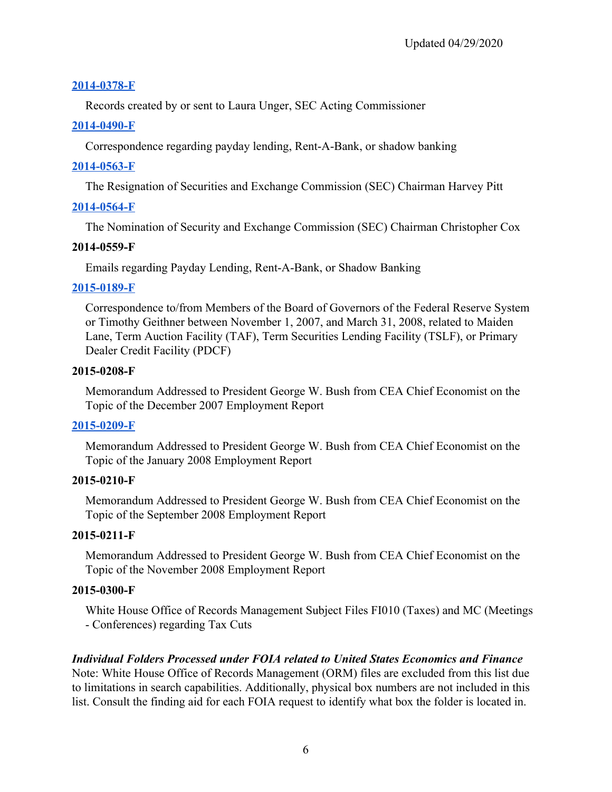### **[2014-0378-F](https://www.georgewbushlibrary.gov/research/finding-aids/foia-requests/2014-0378-f-records-laura-unger-sec-acting-chairman)**

Records created by or sent to Laura Unger, SEC Acting Commissioner

### **[2014-0490-F](https://www.georgewbushlibrary.gov/research/finding-aids/foia-requests/2014-0490-f-correspondence-related-payday-lending-rent-bank-or-shadow-banking)**

Correspondence regarding payday lending, Rent-A-Bank, or shadow banking

### **[2014-0563-F](https://www.georgewbushlibrary.gov/research/finding-aids/foia-requests/2014-0563-f-resignation-securities-and-exchange-commission-sec-chairman-harvey-pitt)**

The Resignation of Securities and Exchange Commission (SEC) Chairman Harvey Pitt

### **[2014-0564-F](https://www.georgewbushlibrary.gov/research/finding-aids/foia-requests/2014-0564-f-nomination-securities-and-exchange-commission-chairman-christopher-cox)**

The Nomination of Security and Exchange Commission (SEC) Chairman Christopher Cox

### **2014-0559-F**

Emails regarding Payday Lending, Rent-A-Bank, or Shadow Banking

### **[2015-0189-F](https://www.georgewbushlibrary.gov/research/finding-aids/foia-requests/2015-0189-F-Correspondence-to-from-Members-of-the-Board-of-Governors-of-the-Federal-Reserve-System-or-Timothy-Geithner)**

Correspondence to/from Members of the Board of Governors of the Federal Reserve System or Timothy Geithner between November 1, 2007, and March 31, 2008, related to Maiden Lane, Term Auction Facility (TAF), Term Securities Lending Facility (TSLF), or Primary Dealer Credit Facility (PDCF)

### **2015-0208-F**

Memorandum Addressed to President George W. Bush from CEA Chief Economist on the Topic of the December 2007 Employment Report

# **[2015-0209-F](https://www.georgewbushlibrary.gov/research/finding-aids/foia-requests/2015-0209-f-memorandum-addressed-president-george-w-bush-cea-chief-economist-topic-january-2008)**

Memorandum Addressed to President George W. Bush from CEA Chief Economist on the Topic of the January 2008 Employment Report

# **2015-0210-F**

Memorandum Addressed to President George W. Bush from CEA Chief Economist on the Topic of the September 2008 Employment Report

# **2015-0211-F**

Memorandum Addressed to President George W. Bush from CEA Chief Economist on the Topic of the November 2008 Employment Report

# **2015-0300-F**

White House Office of Records Management Subject Files FI010 (Taxes) and MC (Meetings - Conferences) regarding Tax Cuts

# *Individual Folders Processed under FOIA related to United States Economics and Finance*

Note: White House Office of Records Management (ORM) files are excluded from this list due to limitations in search capabilities. Additionally, physical box numbers are not included in this list. Consult the finding aid for each FOIA request to identify what box the folder is located in.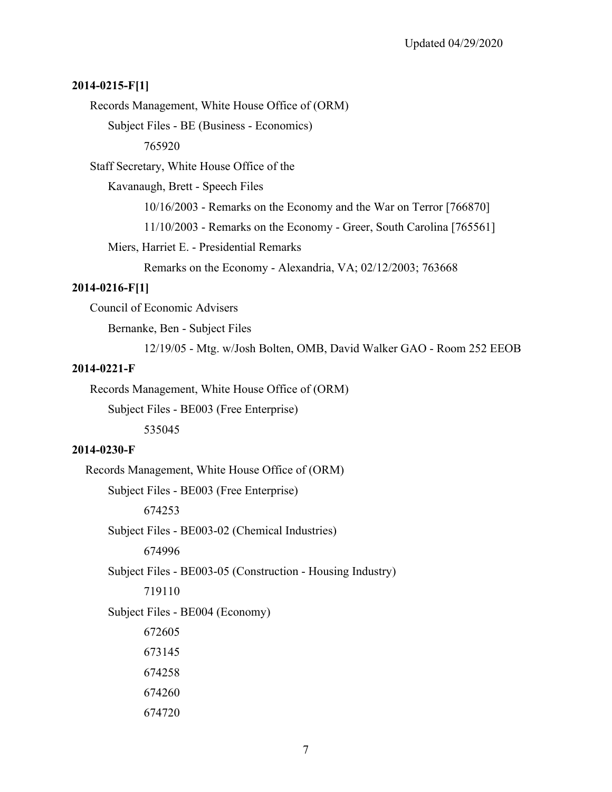#### **2014-0215-F[1]**

Records Management, White House Office of (ORM)

Subject Files - BE (Business - Economics)

765920

Staff Secretary, White House Office of the

Kavanaugh, Brett - Speech Files

10/16/2003 - Remarks on the Economy and the War on Terror [766870]

11/10/2003 - Remarks on the Economy - Greer, South Carolina [765561]

Miers, Harriet E. - Presidential Remarks

Remarks on the Economy - Alexandria, VA; 02/12/2003; 763668

#### **2014-0216-F[1]**

Council of Economic Advisers

Bernanke, Ben - Subject Files

12/19/05 - Mtg. w/Josh Bolten, OMB, David Walker GAO - Room 252 EEOB

#### **2014-0221-F**

Records Management, White House Office of (ORM)

Subject Files - BE003 (Free Enterprise)

535045

#### **2014-0230-F**

Records Management, White House Office of (ORM)

Subject Files - BE003 (Free Enterprise)

674253

Subject Files - BE003-02 (Chemical Industries)

674996

Subject Files - BE003-05 (Construction - Housing Industry)

719110

Subject Files - BE004 (Economy)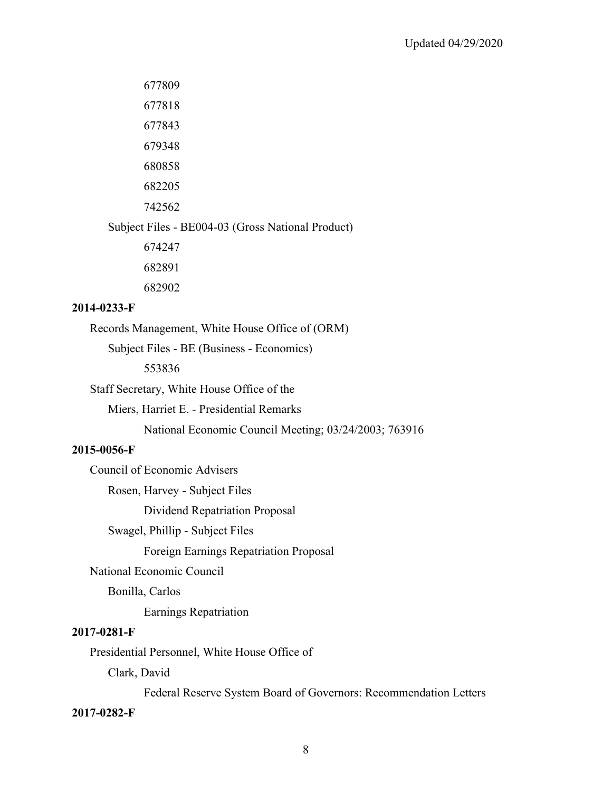677809

677818

677843

679348

680858

682205

742562

Subject Files - BE004-03 (Gross National Product)

674247

682891

682902

### **2014-0233-F**

Records Management, White House Office of (ORM)

Subject Files - BE (Business - Economics)

553836

Staff Secretary, White House Office of the

Miers, Harriet E. - Presidential Remarks

National Economic Council Meeting; 03/24/2003; 763916

### **2015-0056-F**

Council of Economic Advisers

Rosen, Harvey - Subject Files

Dividend Repatriation Proposal

Swagel, Phillip - Subject Files

Foreign Earnings Repatriation Proposal

National Economic Council

Bonilla, Carlos

Earnings Repatriation

### **2017-0281-F**

Presidential Personnel, White House Office of

Clark, David

Federal Reserve System Board of Governors: Recommendation Letters

### **2017-0282-F**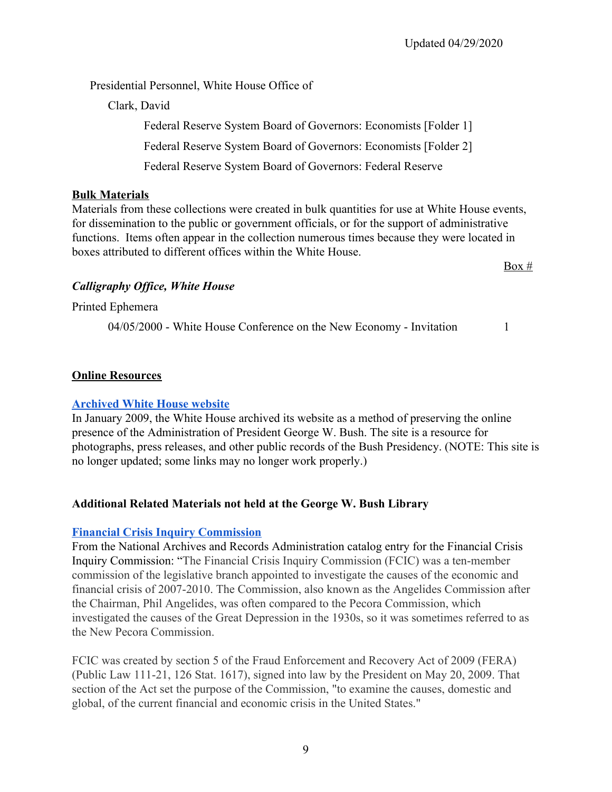Presidential Personnel, White House Office of

Clark, David

Federal Reserve System Board of Governors: Economists [Folder 1] Federal Reserve System Board of Governors: Economists [Folder 2] Federal Reserve System Board of Governors: Federal Reserve

### **Bulk Materials**

 functions. Items often appear in the collection numerous times because they were located in Materials from these collections were created in bulk quantities for use at White House events, for dissemination to the public or government officials, or for the support of administrative boxes attributed to different offices within the White House.

*Calligraphy Office, White House*

Printed Ephemera

04/05/2000 - White House Conference on the New Economy - Invitation 1

 $Box #$ 

### **Online Resources**

### **[Archived White House website](https://georgewbush-whitehouse.archives.gov/index.html)**

In January 2009, the White House archived its website as a method of preserving the online presence of the Administration of President George W. Bush. The site is a resource for photographs, press releases, and other public records of the Bush Presidency. (NOTE: This site is no longer updated; some links may no longer work properly.)

# **Additional Related Materials not held at the George W. Bush Library**

### **[Financial Crisis Inquiry Commission](https://catalog.archives.gov/id/10500783#.Xpm4GjSZrCQ.link)**

From the National Archives and Records Administration catalog entry for the Financial Crisis Inquiry Commission: "The Financial Crisis Inquiry Commission (FCIC) was a ten-member commission of the legislative branch appointed to investigate the causes of the economic and financial crisis of 2007-2010. The Commission, also known as the Angelides Commission after the Chairman, Phil Angelides, was often compared to the Pecora Commission, which investigated the causes of the Great Depression in the 1930s, so it was sometimes referred to as the New Pecora Commission.

FCIC was created by section 5 of the Fraud Enforcement and Recovery Act of 2009 (FERA) (Public Law 111-21, 126 Stat. 1617), signed into law by the President on May 20, 2009. That section of the Act set the purpose of the Commission, "to examine the causes, domestic and global, of the current financial and economic crisis in the United States."